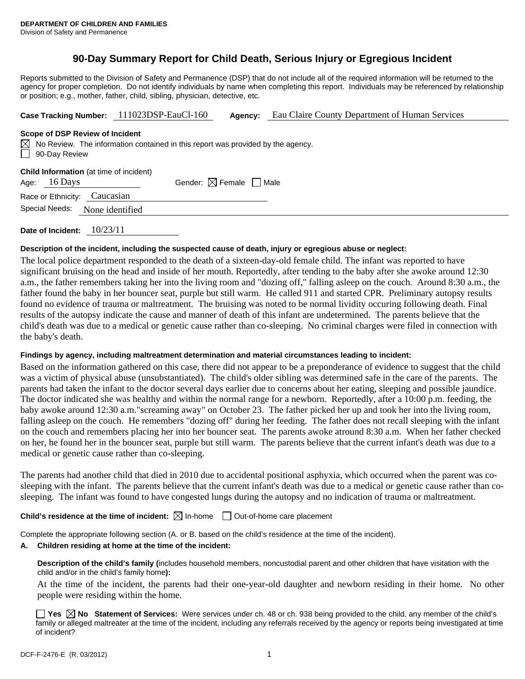# **90-Day Summary Report for Child Death, Serious Injury or Egregious Incident**

Reports submitted to the Division of Safety and Permanence (DSP) that do not include all of the required information will be returned to the agency for proper completion. Do not identify individuals by name when completing this report. Individuals may be referenced by relationship or position; e.g., mother, father, child, sibling, physician, detective, etc.

#### **Scope of DSP Review of Incident**

|               | $\boxtimes$ No Review. The information contained in this report was provided by the agency. |
|---------------|---------------------------------------------------------------------------------------------|
| 90-Day Review |                                                                                             |

| <b>Child Information</b> (at time of incident) |                                |                                        |  |  |  |  |  |
|------------------------------------------------|--------------------------------|----------------------------------------|--|--|--|--|--|
| Age: 16 Days                                   |                                | Gender: $\boxtimes$ Female $\Box$ Male |  |  |  |  |  |
| Race or Ethnicity: Caucasian                   |                                |                                        |  |  |  |  |  |
|                                                | Special Needs: None identified |                                        |  |  |  |  |  |
|                                                |                                |                                        |  |  |  |  |  |

**Date of Incident:** 10/23/11

### **Description of the incident, including the suspected cause of death, injury or egregious abuse or neglect:**

The local police department responded to the death of a sixteen-day-old female child. The infant was reported to have significant bruising on the head and inside of her mouth. Reportedly, after tending to the baby after she awoke around 12:30 a.m., the father remembers taking her into the living room and "dozing off," falling asleep on the couch. Around 8:30 a.m., the father found the baby in her bouncer seat, purple but still warm. He called 911 and started CPR. Preliminary autopsy results found no evidence of trauma or maltreatment. The bruising was noted to be normal lividity occuring following death. Final results of the autopsy indicate the cause and manner of death of this infant are undetermined. The parents believe that the child's death was due to a medical or genetic cause rather than co-sleeping. No criminal charges were filed in connection with the baby's death.

## **Findings by agency, including maltreatment determination and material circumstances leading to incident:**

Based on the information gathered on this case, there did not appear to be a preponderance of evidence to suggest that the child was a victim of physical abuse (unsubstantiated). The child's older sibling was determined safe in the care of the parents. The parents had taken the infant to the doctor several days earlier due to concerns about her eating, sleeping and possible jaundice. The doctor indicated she was healthy and within the normal range for a newborn. Reportedly, after a 10:00 p.m. feeding, the baby awoke around 12:30 a.m."screaming away" on October 23. The father picked her up and took her into the living room, falling asleep on the couch. He remembers "dozing off" during her feeding. The father does not recall sleeping with the infant on the couch and remembers placing her into her bouncer seat. The parents awoke atround 8:30 a.m. When her father checked on her, he found her in the bouncer seat, purple but still warm. The parents believe that the current infant's death was due to a medical or genetic cause rather than co-sleeping.

The parents had another child that died in 2010 due to accidental positional asphyxia, which occurred when the parent was cosleeping with the infant. The parents believe that the current infant's death was due to a medical or genetic cause rather than cosleeping. The infant was found to have congested lungs during the autopsy and no indication of trauma or maltreatment.

**Child's residence at the time of incident:**  $\boxtimes$  In-home  $\Box$  Out-of-home care placement

Complete the appropriate following section (A. or B. based on the child's residence at the time of the incident).

#### **A. Children residing at home at the time of the incident:**

**Description of the child's family (**includes household members, noncustodial parent and other children that have visitation with the child and/or in the child's family home**):** 

At the time of the incident, the parents had their one-year-old daughter and newborn residing in their home. No other people were residing within the home.

**Yes No Statement of Services:** Were services under ch. 48 or ch. 938 being provided to the child, any member of the child's family or alleged maltreater at the time of the incident, including any referrals received by the agency or reports being investigated at time of incident?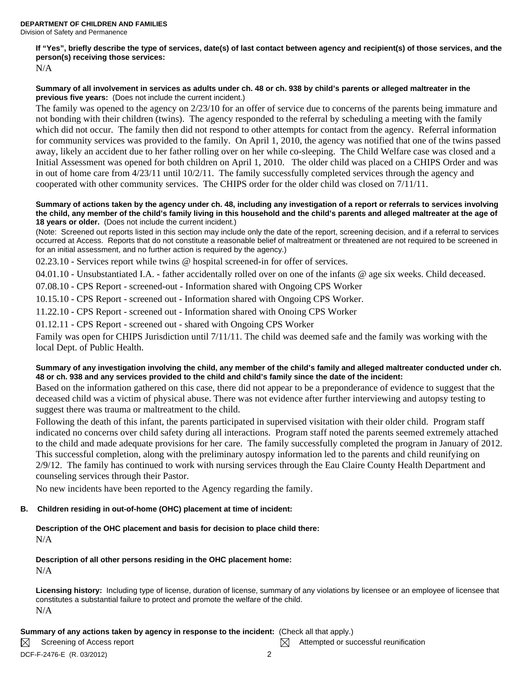## **If "Yes", briefly describe the type of services, date(s) of last contact between agency and recipient(s) of those services, and the person(s) receiving those services:**

N/A

## **Summary of all involvement in services as adults under ch. 48 or ch. 938 by child's parents or alleged maltreater in the previous five years:** (Does not include the current incident.)

The family was opened to the agency on 2/23/10 for an offer of service due to concerns of the parents being immature and not bonding with their children (twins). The agency responded to the referral by scheduling a meeting with the family which did not occur. The family then did not respond to other attempts for contact from the agency. Referral information for community services was provided to the family. On April 1, 2010, the agency was notified that one of the twins passed away, likely an accident due to her father rolling over on her while co-sleeping. The Child Welfare case was closed and a Initial Assessment was opened for both children on April 1, 2010. The older child was placed on a CHIPS Order and was in out of home care from 4/23/11 until 10/2/11. The family successfully completed services through the agency and cooperated with other community services. The CHIPS order for the older child was closed on 7/11/11.

### **Summary of actions taken by the agency under ch. 48, including any investigation of a report or referrals to services involving the child, any member of the child's family living in this household and the child's parents and alleged maltreater at the age of 18 years or older.** (Does not include the current incident.)

(Note: Screened out reports listed in this section may include only the date of the report, screening decision, and if a referral to services occurred at Access. Reports that do not constitute a reasonable belief of maltreatment or threatened are not required to be screened in for an initial assessment, and no further action is required by the agency.)

02.23.10 - Services report while twins @ hospital screened-in for offer of services.

04.01.10 - Unsubstantiated I.A. - father accidentally rolled over on one of the infants @ age six weeks. Child deceased.

07.08.10 - CPS Report - screened-out - Information shared with Ongoing CPS Worker

10.15.10 - CPS Report - screened out - Information shared with Ongoing CPS Worker.

11.22.10 - CPS Report - screened out - Information shared with Onoing CPS Worker

01.12.11 - CPS Report - screened out - shared with Ongoing CPS Worker

Family was open for CHIPS Jurisdiction until 7/11/11. The child was deemed safe and the family was working with the local Dept. of Public Health.

## **Summary of any investigation involving the child, any member of the child's family and alleged maltreater conducted under ch. 48 or ch. 938 and any services provided to the child and child's family since the date of the incident:**

Based on the information gathered on this case, there did not appear to be a preponderance of evidence to suggest that the deceased child was a victim of physical abuse. There was not evidence after further interviewing and autopsy testing to suggest there was trauma or maltreatment to the child.

Following the death of this infant, the parents participated in supervised visitation with their older child. Program staff indicated no concerns over child safety during all interactions. Program staff noted the parents seemed extremely attached to the child and made adequate provisions for her care. The family successfully completed the program in January of 2012. This successful completion, along with the preliminary autospy information led to the parents and child reunifying on 2/9/12. The family has continued to work with nursing services through the Eau Claire County Health Department and counseling services through their Pastor.

No new incidents have been reported to the Agency regarding the family.

# **B. Children residing in out-of-home (OHC) placement at time of incident:**

# **Description of the OHC placement and basis for decision to place child there:**  N/A

# **Description of all other persons residing in the OHC placement home:**  N/A

**Licensing history:** Including type of license, duration of license, summary of any violations by licensee or an employee of licensee that constitutes a substantial failure to protect and promote the welfare of the child. N/A

# **Summary of any actions taken by agency in response to the incident:** (Check all that apply.)

⊠

Screening of Access report  $\boxtimes$  Attempted or successful reunification